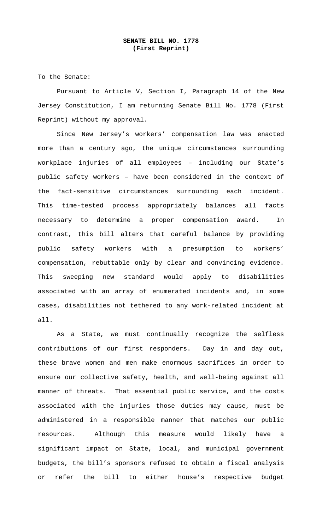To the Senate:

 Pursuant to Article V, Section I, Paragraph 14 of the New Jersey Constitution, I am returning Senate Bill No. 1778 (First Reprint) without my approval.

 Since New Jersey's workers' compensation law was enacted more than a century ago, the unique circumstances surrounding workplace injuries of all employees – including our State's public safety workers – have been considered in the context of the fact-sensitive circumstances surrounding each incident. This time-tested process appropriately balances all facts necessary to determine a proper compensation award. In contrast, this bill alters that careful balance by providing public safety workers with a presumption to workers' compensation, rebuttable only by clear and convincing evidence. This sweeping new standard would apply to disabilities associated with an array of enumerated incidents and, in some cases, disabilities not tethered to any work-related incident at all.

As a State, we must continually recognize the selfless contributions of our first responders. Day in and day out, these brave women and men make enormous sacrifices in order to ensure our collective safety, health, and well-being against all manner of threats. That essential public service, and the costs associated with the injuries those duties may cause, must be administered in a responsible manner that matches our public resources. Although this measure would likely have a significant impact on State, local, and municipal government budgets, the bill's sponsors refused to obtain a fiscal analysis or refer the bill to either house's respective budget